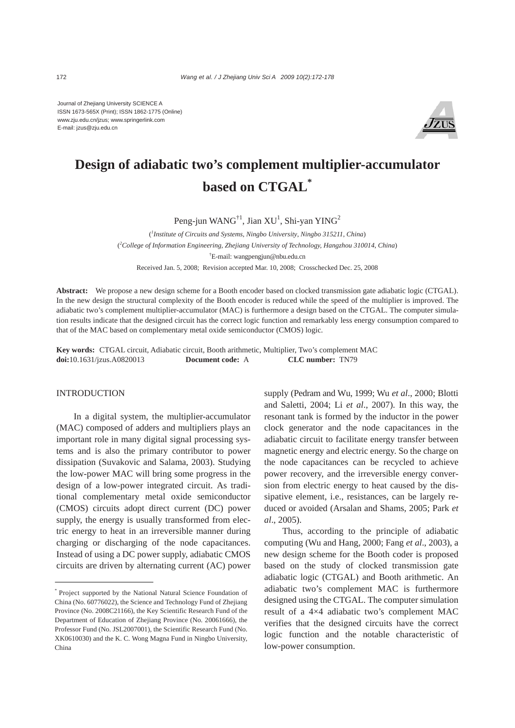Journal of Zhejiang University SCIENCE A ISSN 1673-565X (Print); ISSN 1862-1775 (Online) www.zju.edu.cn/jzus; www.springerlink.com E-mail: jzus@zju.edu.cn



# **Design of adiabatic two's complement multiplier-accumulator based on CTGAL\***

Peng-jun WAN $G^{\dagger 1}$ , Jian XU<sup>1</sup>, Shi-yan YIN $G^2$ 

( *1 Institute of Circuits and Systems*, *Ningbo University*, *Ningbo 315211*, *China*) ( *2 College of Information Engineering, Zhejiang University of Technology, Hangzhou 310014*, *China*) † E-mail: wangpengjun@nbu.edu.cn Received Jan. 5, 2008; Revision accepted Mar. 10, 2008; Crosschecked Dec. 25, 2008

**Abstract:** We propose a new design scheme for a Booth encoder based on clocked transmission gate adiabatic logic (CTGAL). In the new design the structural complexity of the Booth encoder is reduced while the speed of the multiplier is improved. The adiabatic two's complement multiplier-accumulator (MAC) is furthermore a design based on the CTGAL. The computer simulation results indicate that the designed circuit has the correct logic function and remarkably less energy consumption compared to that of the MAC based on complementary metal oxide semiconductor (CMOS) logic.

**Key words:** CTGAL circuit, Adiabatic circuit, Booth arithmetic, Multiplier, Two's complement MAC **doi:**10.1631/jzus.A0820013 **Document code:** A **CLC number:** TN79

## **INTRODUCTION**

In a digital system, the multiplier-accumulator (MAC) composed of adders and multipliers plays an important role in many digital signal processing systems and is also the primary contributor to power dissipation (Suvakovic and Salama, 2003). Studying the low-power MAC will bring some progress in the design of a low-power integrated circuit. As traditional complementary metal oxide semiconductor (CMOS) circuits adopt direct current (DC) power supply, the energy is usually transformed from electric energy to heat in an irreversible manner during charging or discharging of the node capacitances. Instead of using a DC power supply, adiabatic CMOS circuits are driven by alternating current (AC) power supply (Pedram and Wu, 1999; Wu *et al*., 2000; Blotti and Saletti, 2004; Li *et al*., 2007). In this way, the resonant tank is formed by the inductor in the power clock generator and the node capacitances in the adiabatic circuit to facilitate energy transfer between magnetic energy and electric energy. So the charge on the node capacitances can be recycled to achieve power recovery, and the irreversible energy conversion from electric energy to heat caused by the dissipative element, i.e., resistances, can be largely reduced or avoided (Arsalan and Shams, 2005; Park *et al*., 2005).

Thus, according to the principle of adiabatic computing (Wu and Hang, 2000; Fang *et al*., 2003), a new design scheme for the Booth coder is proposed based on the study of clocked transmission gate adiabatic logic (CTGAL) and Booth arithmetic. An adiabatic two's complement MAC is furthermore designed using the CTGAL. The computer simulation result of a 4×4 adiabatic two's complement MAC verifies that the designed circuits have the correct logic function and the notable characteristic of low-power consumption.

<sup>\*</sup> Project supported by the National Natural Science Foundation of China (No. 60776022), the Science and Technology Fund of Zhejiang Province (No. 2008C21166), the Key Scientific Research Fund of the Department of Education of Zhejiang Province (No. 20061666), the Professor Fund (No. JSL2007001), the Scientific Research Fund (No. XK0610030) and the K. C. Wong Magna Fund in Ningbo University, China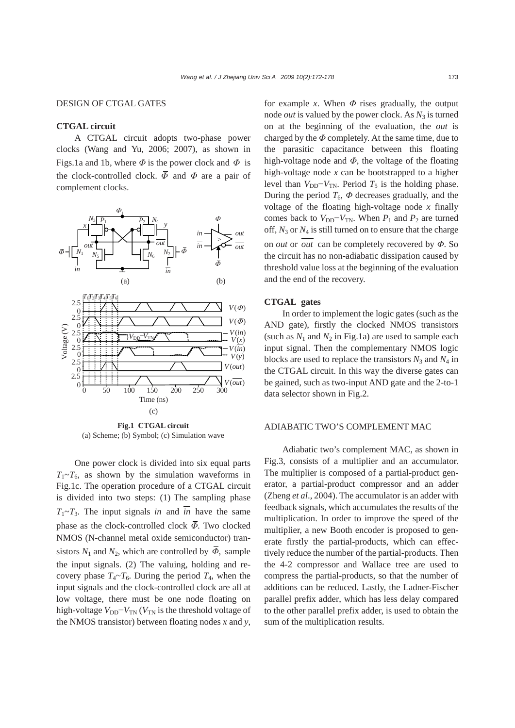## DESIGN OF CTGAL GATES

## **CTGAL circuit**

A CTGAL circuit adopts two-phase power clocks (Wang and Yu, 2006; 2007), as shown in Figs.1a and 1b, where  $\Phi$  is the power clock and  $\overline{\Phi}$  is the clock-controlled clock.  $\overline{\Phi}$  and  $\Phi$  are a pair of complement clocks.



(a) Scheme; (b) Symbol; (c) Simulation wave

One power clock is divided into six equal parts  $T_1 \sim T_6$ , as shown by the simulation waveforms in Fig.1c. The operation procedure of a CTGAL circuit is divided into two steps: (1) The sampling phase  $T_1 \sim T_3$ . The input signals *in* and  $\overline{in}$  have the same phase as the clock-controlled clock *Φ*. Two clocked NMOS (N-channel metal oxide semiconductor) transistors  $N_1$  and  $N_2$ , which are controlled by  $\overline{\Phi}$ , sample the input signals. (2) The valuing, holding and recovery phase  $T_4 \sim T_6$ . During the period  $T_4$ , when the input signals and the clock-controlled clock are all at low voltage, there must be one node floating on high-voltage  $V_{DD} - V_{TN}$  ( $V_{TN}$  is the threshold voltage of the NMOS transistor) between floating nodes *x* and *y*,

for example *x*. When  $\Phi$  rises gradually, the output node *out* is valued by the power clock. As  $N_3$  is turned on at the beginning of the evaluation, the *out* is charged by the *Φ* completely. At the same time, due to the parasitic capacitance between this floating high-voltage node and *Φ*, the voltage of the floating high-voltage node *x* can be bootstrapped to a higher level than  $V_{DD} - V_{TN}$ . Period  $T_5$  is the holding phase. During the period  $T_6$ ,  $\Phi$  decreases gradually, and the voltage of the floating high-voltage node *x* finally comes back to  $V_{DD} - V_{TN}$ . When  $P_1$  and  $P_2$  are turned off,  $N_3$  or  $N_4$  is still turned on to ensure that the charge on *out* or *out* can be completely recovered by *Φ*. So the circuit has no non-adiabatic dissipation caused by threshold value loss at the beginning of the evaluation and the end of the recovery.

## **CTGAL gates**

In order to implement the logic gates (such as the AND gate), firstly the clocked NMOS transistors (such as  $N_1$  and  $N_2$  in Fig.1a) are used to sample each input signal. Then the complementary NMOS logic blocks are used to replace the transistors  $N_3$  and  $N_4$  in the CTGAL circuit. In this way the diverse gates can be gained, such as two-input AND gate and the 2-to-1 data selector shown in Fig.2.

### ADIABATIC TWO'S COMPLEMENT MAC

Adiabatic two's complement MAC, as shown in Fig.3, consists of a multiplier and an accumulator. The multiplier is composed of a partial-product generator, a partial-product compressor and an adder (Zheng *et al*., 2004). The accumulator is an adder with feedback signals, which accumulates the results of the multiplication. In order to improve the speed of the multiplier, a new Booth encoder is proposed to generate firstly the partial-products, which can effectively reduce the number of the partial-products. Then the 4-2 compressor and Wallace tree are used to compress the partial-products, so that the number of additions can be reduced. Lastly, the Ladner-Fischer parallel prefix adder, which has less delay compared to the other parallel prefix adder, is used to obtain the sum of the multiplication results.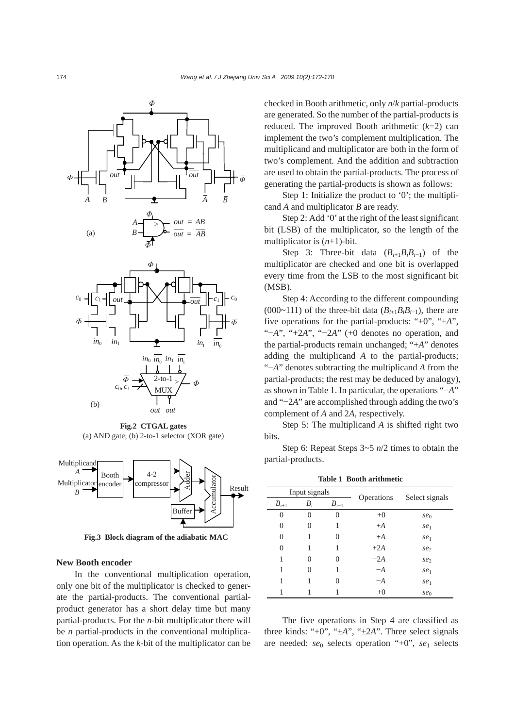

**Fig.2 CTGAL gates**  (a) AND gate; (b) 2-to-1 selector (XOR gate)



**Fig.3 Block diagram of the adiabatic MAC** 

### **New Booth encoder**

In the conventional multiplication operation, only one bit of the multiplicator is checked to generate the partial-products. The conventional partialproduct generator has a short delay time but many partial-products. For the *n*-bit multiplicator there will be *n* partial-products in the conventional multiplication operation. As the *k*-bit of the multiplicator can be checked in Booth arithmetic, only *n*/*k* partial-products are generated. So the number of the partial-products is reduced. The improved Booth arithmetic (*k*=2) can implement the two's complement multiplication. The multiplicand and multiplicator are both in the form of two's complement. And the addition and subtraction are used to obtain the partial-products. The process of generating the partial-products is shown as follows:

Step 1: Initialize the product to '0'; the multiplicand *A* and multiplicator *B* are ready.

Step 2: Add '0' at the right of the least significant bit (LSB) of the multiplicator, so the length of the multiplicator is (*n*+1)-bit.

Step 3: Three-bit data  $(B_{i+1}B_iB_{i-1})$  of the multiplicator are checked and one bit is overlapped every time from the LSB to the most significant bit (MSB).

Step 4: According to the different compounding (000~111) of the three-bit data  $(B_{i+1}B_iB_{i-1})$ , there are five operations for the partial-products: "+0", "+*A*", "−*A*", "+2*A*", "−2*A*" (+0 denotes no operation, and the partial-products remain unchanged; "+*A*" denotes adding the multiplicand *A* to the partial-products; "−*A*" denotes subtracting the multiplicand *A* from the partial-products; the rest may be deduced by analogy), as shown in Table 1. In particular, the operations "−*A*" and "−2*A*" are accomplished through adding the two's complement of *A* and 2*A*, respectively.

Step 5: The multiplicand *A* is shifted right two bits.

Step 6: Repeat Steps 3~5 *n*/2 times to obtain the partial-products.

| Input signals |                   |                   |            |                 |
|---------------|-------------------|-------------------|------------|-----------------|
| $B_{i+1}$     | $B_i$             | $B_{i-1}$         | Operations | Select signals  |
| 0             | 0                 | $\Omega$          | $+0$       | se <sub>0</sub> |
| 0             | 0                 | 1                 | $+A$       | se <sub>1</sub> |
| 0             |                   | $\theta$          | $+A$       | se <sub>1</sub> |
| 0             |                   |                   | $+2A$      | se <sub>2</sub> |
| 1             | $\mathbf{\Omega}$ | $\mathbf{\Omega}$ | $-2A$      | se <sub>2</sub> |
| 1             | $\mathbf{\Omega}$ |                   | $-A$       | se <sub>1</sub> |
| 1             |                   | $\mathcal{L}$     | $-A$       | se <sub>1</sub> |
|               |                   |                   | $+0$       | se <sub>0</sub> |

**Table 1 Booth arithmetic** 

The five operations in Step 4 are classified as three kinds: "+0", "±*A*", "±2*A*". Three select signals are needed: *se*0 selects operation "+0", *se*1 selects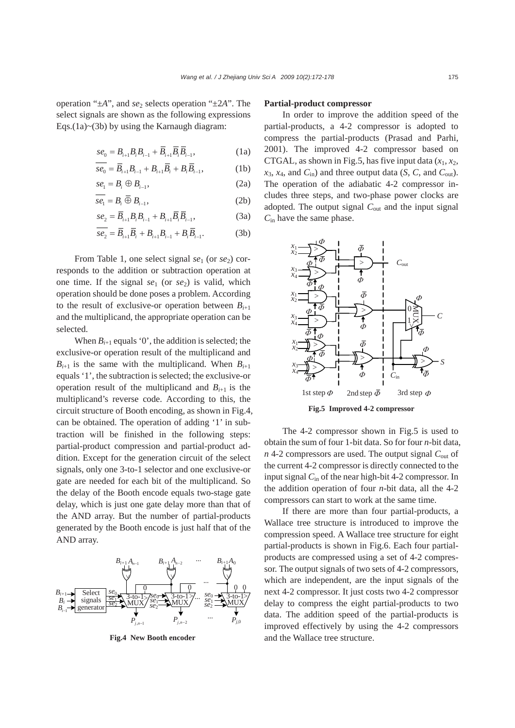operation " $\pm A$ ", and *se*<sub>2</sub> selects operation " $\pm 2A$ ". The select signals are shown as the following expressions Eqs. $(1a)$  ~ $(3b)$  by using the Karnaugh diagram:

$$
se_0 = B_{i+1}B_iB_{i-1} + \overline{B}_{i+1}\overline{B}_i\overline{B}_{i-1},
$$
 (1a)

$$
se_0 = \overline{B}_{i+1}B_{i-1} + B_{i+1}\overline{B}_i + B_i\overline{B}_{i-1},
$$
 (1b)

$$
se_1 = B_i \oplus B_{i-1},\tag{2a}
$$

$$
\overline{se_1} = B_i \overline{\oplus} B_{i-1},\tag{2b}
$$

$$
se_2 = \overline{B}_{i+1}B_iB_{i-1} + B_{i+1}\overline{B}_i\overline{B}_{i-1},
$$
 (3a)

$$
\overline{se_2} = \overline{B}_{i+1}\overline{B}_i + B_{i+1}B_{i-1} + B_i\overline{B}_{i-1}.
$$
 (3b)

From Table 1, one select signal *se*<sub>1</sub> (or *se*<sub>2</sub>) corresponds to the addition or subtraction operation at one time. If the signal *se*1 (or *se*2) is valid, which operation should be done poses a problem. According to the result of exclusive-or operation between  $B_{i+1}$ and the multiplicand, the appropriate operation can be selected.

When  $B_{i+1}$  equals '0', the addition is selected; the exclusive-or operation result of the multiplicand and  $B_{i+1}$  is the same with the multiplicand. When  $B_{i+1}$ equals '1', the subtraction is selected; the exclusive-or operation result of the multiplicand and  $B_{i+1}$  is the multiplicand's reverse code. According to this, the circuit structure of Booth encoding, as shown in Fig.4, can be obtained. The operation of adding '1' in subtraction will be finished in the following steps: partial-product compression and partial-product addition. Except for the generation circuit of the select signals, only one 3-to-1 selector and one exclusive-or gate are needed for each bit of the multiplicand. So the delay of the Booth encode equals two-stage gate delay, which is just one gate delay more than that of the AND array. But the number of partial-products generated by the Booth encode is just half that of the AND array.



**Fig.4 New Booth encoder** 

#### **Partial-product compressor**

In order to improve the addition speed of the partial-products, a 4-2 compressor is adopted to compress the partial-products (Prasad and Parhi, 2001). The improved 4-2 compressor based on CTGAL, as shown in Fig.5, has five input data  $(x_1, x_2)$ ,  $x_3$ ,  $x_4$ , and  $C_{in}$ ) and three output data (*S*, *C*, and  $C_{out}$ ). The operation of the adiabatic 4-2 compressor includes three steps, and two-phase power clocks are adopted. The output signal *C*out and the input signal *C*in have the same phase.



The 4-2 compressor shown in Fig.5 is used to obtain the sum of four 1-bit data. So for four *n*-bit data, *n* 4-2 compressors are used. The output signal *C*out of the current 4-2 compressor is directly connected to the input signal *C*in of the near high-bit 4-2 compressor. In the addition operation of four *n*-bit data, all the 4-2 compressors can start to work at the same time.

If there are more than four partial-products, a Wallace tree structure is introduced to improve the compression speed. A Wallace tree structure for eight partial-products is shown in Fig.6. Each four partialproducts are compressed using a set of 4-2 compressor. The output signals of two sets of 4-2 compressors, which are independent, are the input signals of the next 4-2 compressor. It just costs two 4-2 compressor delay to compress the eight partial-products to two data. The addition speed of the partial-products is improved effectively by using the 4-2 compressors and the Wallace tree structure.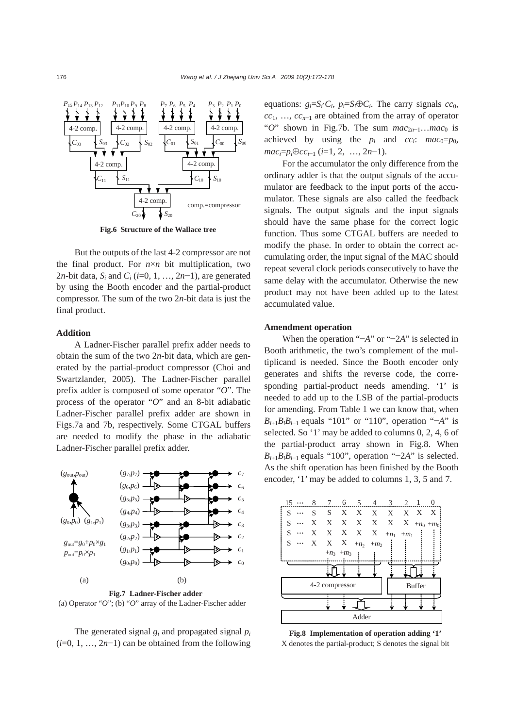

**Fig.6 Structure of the Wallace tree** 

But the outputs of the last 4-2 compressor are not the final product. For  $n \times n$  bit multiplication, two 2*n*-bit data,  $S_i$  and  $C_i$  ( $i=0, 1, ..., 2n-1$ ), are generated by using the Booth encoder and the partial-product compressor. The sum of the two 2*n*-bit data is just the final product.

## **Addition**

A Ladner-Fischer parallel prefix adder needs to obtain the sum of the two 2*n*-bit data, which are generated by the partial-product compressor (Choi and Swartzlander, 2005). The Ladner-Fischer parallel prefix adder is composed of some operator "*O*". The process of the operator "*O*" and an 8-bit adiabatic Ladner-Fischer parallel prefix adder are shown in Figs.7a and 7b, respectively. Some CTGAL buffers are needed to modify the phase in the adiabatic Ladner-Fischer parallel prefix adder.



**Fig.7 Ladner-Fischer adder**  (a) Operator "*O*"; (b) "*O*" array of the Ladner-Fischer adder

The generated signal  $g_i$  and propagated signal  $p_i$ (*i*=0, 1, …, 2*n*−1) can be obtained from the following equations:  $g_i = S_i \cdot C_i$ ,  $p_i = S_i \oplus C_i$ . The carry signals  $cc_0$ , *cc*<sub>1</sub>, …, *cc*<sub>n−1</sub> are obtained from the array of operator "*O*" shown in Fig.7b. The sum  $mac_{2n-1}...mac_0$  is achieved by using the  $p_i$  and  $cc_i$ :  $mac_0=p_0$ , *maci*=*pi*⊕*cci*−1 (*i*=1, 2, …, 2*n*−1).

For the accumulator the only difference from the ordinary adder is that the output signals of the accumulator are feedback to the input ports of the accumulator. These signals are also called the feedback signals. The output signals and the input signals should have the same phase for the correct logic function. Thus some CTGAL buffers are needed to modify the phase. In order to obtain the correct accumulating order, the input signal of the MAC should repeat several clock periods consecutively to have the same delay with the accumulator. Otherwise the new product may not have been added up to the latest accumulated value.

## **Amendment operation**

When the operation "−*A*" or "−2*A*" is selected in Booth arithmetic, the two's complement of the multiplicand is needed. Since the Booth encoder only generates and shifts the reverse code, the corresponding partial-product needs amending. '1' is needed to add up to the LSB of the partial-products for amending. From Table 1 we can know that, when *B*<sub>*i*+1</sub>*B*<sub>*iB*<sub>*i*-1</sub></sub> equals "101" or "110", operation "−*A*" is selected. So '1' may be added to columns 0, 2, 4, 6 of the partial-product array shown in Fig.8. When *B*<sub>i+1</sub>*B*<sub>i</sub>*B*<sub>i−1</sub></sub> equals "100", operation "−2*A*" is selected. As the shift operation has been finished by the Booth encoder, '1' may be added to columns 1, 3, 5 and 7.



**Fig.8 Implementation of operation adding '1'** X denotes the partial-product; S denotes the signal bit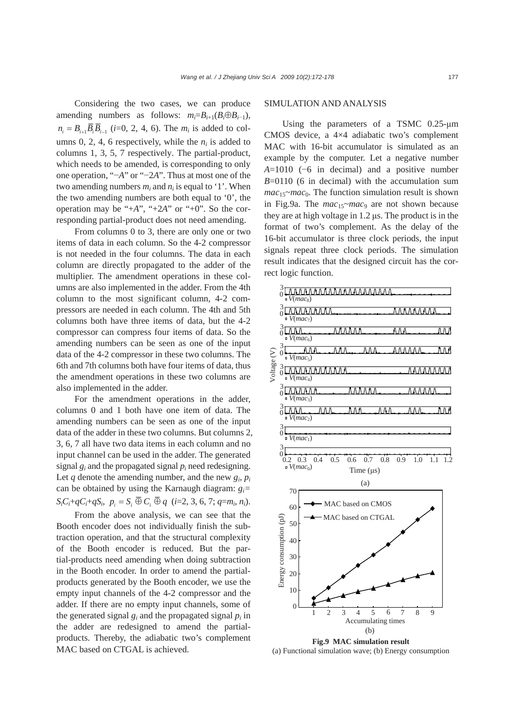Considering the two cases, we can produce amending numbers as follows:  $m_i = B_{i+1}(B_i \oplus B_{i-1}),$  $n_i = B_{i+1} \overline{B}_{i} \overline{B}_{i-1}$  (*i*=0, 2, 4, 6). The  $m_i$  is added to columns 0, 2, 4, 6 respectively, while the  $n_i$  is added to columns 1, 3, 5, 7 respectively. The partial-product, which needs to be amended, is corresponding to only one operation, "−*A*" or "−2*A*". Thus at most one of the two amending numbers  $m_i$  and  $n_i$  is equal to '1'. When the two amending numbers are both equal to '0', the operation may be "+*A*", "+2*A*" or "+0". So the corresponding partial-product does not need amending.

From columns 0 to 3, there are only one or two items of data in each column. So the 4-2 compressor is not needed in the four columns. The data in each column are directly propagated to the adder of the multiplier. The amendment operations in these columns are also implemented in the adder. From the 4th column to the most significant column, 4-2 compressors are needed in each column. The 4th and 5th columns both have three items of data, but the 4-2 compressor can compress four items of data. So the amending numbers can be seen as one of the input data of the 4-2 compressor in these two columns. The 6th and 7th columns both have four items of data, thus the amendment operations in these two columns are also implemented in the adder.

For the amendment operations in the adder, columns 0 and 1 both have one item of data. The amending numbers can be seen as one of the input data of the adder in these two columns. But columns 2, 3, 6, 7 all have two data items in each column and no input channel can be used in the adder. The generated signal  $g_i$  and the propagated signal  $p_i$  need redesigning. Let  $q$  denote the amending number, and the new  $g_i$ ,  $p_i$ can be obtained by using the Karnaugh diagram: *gi=*   $S_iC_i+qC_i+qS_i$ ,  $p_i = S_i \overline{\oplus} C_i \overline{\oplus} q$  (*i*=2, 3, 6, 7; *q*=*m<sub>i</sub>*, *n<sub>i</sub>*).

From the above analysis, we can see that the Booth encoder does not individually finish the subtraction operation, and that the structural complexity of the Booth encoder is reduced. But the partial-products need amending when doing subtraction in the Booth encoder. In order to amend the partialproducts generated by the Booth encoder, we use the empty input channels of the 4-2 compressor and the adder. If there are no empty input channels, some of the generated signal  $g_i$  and the propagated signal  $p_i$  in the adder are redesigned to amend the partialproducts. Thereby, the adiabatic two's complement MAC based on CTGAL is achieved.

## SIMULATION AND ANALYSIS

Using the parameters of a TSMC 0.25-μm CMOS device, a 4×4 adiabatic two's complement MAC with 16-bit accumulator is simulated as an example by the computer. Let a negative number *A*=1010 (−6 in decimal) and a positive number *B*=0110 (6 in decimal) with the accumulation sum  $mac_{15}~mac_0$ . The function simulation result is shown in Fig.9a. The *mac*<sub>15</sub>~*mac*<sup>9</sup> are not shown because they are at high voltage in 1.2 μs. The product is in the format of two's complement. As the delay of the 16-bit accumulator is three clock periods, the input signals repeat three clock periods. The simulation result indicates that the designed circuit has the correct logic function.



**Fig.9 MAC simulation result**  (a) Functional simulation wave; (b) Energy consumption